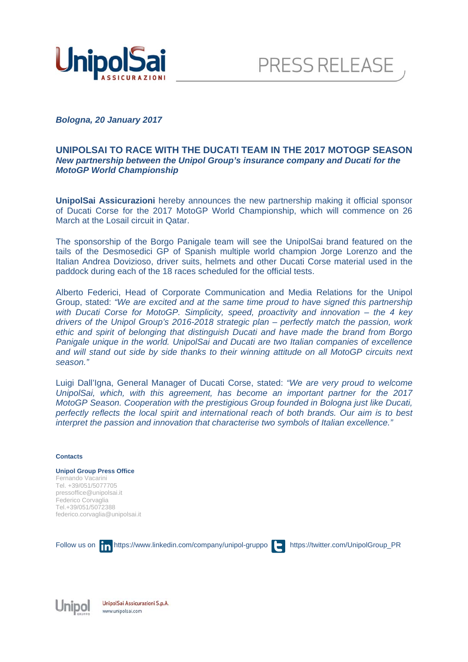



*Bologna, 20 January 2017* 

## **UNIPOLSAI TO RACE WITH THE DUCATI TEAM IN THE 2017 MOTOGP SEASON**  *New partnership between the Unipol Group's insurance company and Ducati for the MotoGP World Championship*

**UnipolSai Assicurazioni** hereby announces the new partnership making it official sponsor of Ducati Corse for the 2017 MotoGP World Championship, which will commence on 26 March at the Losail circuit in Qatar.

The sponsorship of the Borgo Panigale team will see the UnipolSai brand featured on the tails of the Desmosedici GP of Spanish multiple world champion Jorge Lorenzo and the Italian Andrea Dovizioso, driver suits, helmets and other Ducati Corse material used in the paddock during each of the 18 races scheduled for the official tests.

Alberto Federici, Head of Corporate Communication and Media Relations for the Unipol Group, stated: *"We are excited and at the same time proud to have signed this partnership with Ducati Corse for MotoGP. Simplicity, speed, proactivity and innovation – the 4 key drivers of the Unipol Group's 2016-2018 strategic plan – perfectly match the passion, work ethic and spirit of belonging that distinguish Ducati and have made the brand from Borgo Panigale unique in the world. UnipolSai and Ducati are two Italian companies of excellence and will stand out side by side thanks to their winning attitude on all MotoGP circuits next season."* 

Luigi Dall'Igna, General Manager of Ducati Corse, stated: *"We are very proud to welcome UnipolSai, which, with this agreement, has become an important partner for the 2017 MotoGP Season. Cooperation with the prestigious Group founded in Bologna just like Ducati, perfectly reflects the local spirit and international reach of both brands. Our aim is to best interpret the passion and innovation that characterise two symbols of Italian excellence."* 

## **Contacts**

**Unipol Group Press Office**  Fernando Vacarini Tel. +39/051/5077705 pressoffice@unipolsai.it Federico Corvaglia Tel.+39/051/5072388 federico.corvaglia@unipolsai.it

Follow us on **in** https://www.linkedin.com/company/unipol-gruppo **https://twitter.com/UnipolGroup\_PR** 

Unipol

UnipolSai Assicurazioni S.p.A. www.unipolsai.com